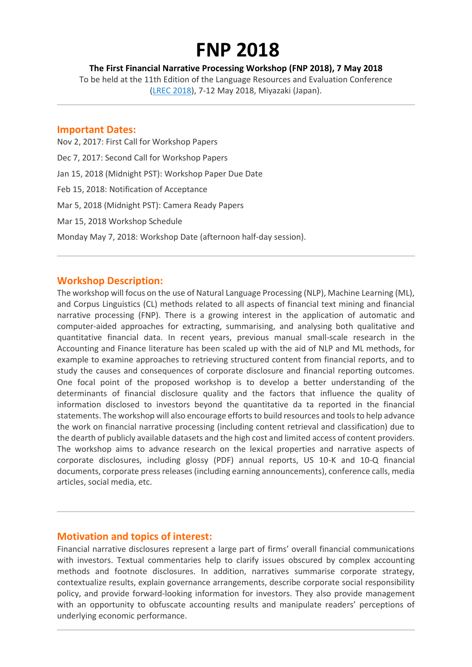# **FNP 2018**

**The First Financial Narrative Processing Workshop (FNP 2018), 7 May 2018**

To be held at the 11th Edition of the Language Resources and Evaluation Conference (LREC [2018\)](http://lrec2018.lrec-conf.org/en/), 7-12 May 2018, Miyazaki (Japan).

#### **Important Dates:**

Nov 2, 2017: First Call for Workshop Papers Dec 7, 2017: Second Call for Workshop Papers Jan 15, 2018 (Midnight PST): Workshop Paper Due Date Feb 15, 2018: Notification of Acceptance Mar 5, 2018 (Midnight PST): Camera Ready Papers Mar 15, 2018 Workshop Schedule Monday May 7, 2018: Workshop Date (afternoon half-day session).

# **Workshop Description:**

The workshop will focus on the use of Natural Language Processing (NLP), Machine Learning (ML), and Corpus Linguistics (CL) methods related to all aspects of financial text mining and financial narrative processing (FNP). There is a growing interest in the application of automatic and computer-aided approaches for extracting, summarising, and analysing both qualitative and quantitative financial data. In recent years, previous manual small-scale research in the Accounting and Finance literature has been scaled up with the aid of NLP and ML methods, for example to examine approaches to retrieving structured content from financial reports, and to study the causes and consequences of corporate disclosure and financial reporting outcomes. One focal point of the proposed workshop is to develop a better understanding of the determinants of financial disclosure quality and the factors that influence the quality of information disclosed to investors beyond the quantitative da ta reported in the financial statements. The workshop will also encourage efforts to build resources and tools to help advance the work on financial narrative processing (including content retrieval and classification) due to the dearth of publicly available datasets and the high cost and limited access of content providers. The workshop aims to advance research on the lexical properties and narrative aspects of corporate disclosures, including glossy (PDF) annual reports, US 10-K and 10-Q financial documents, corporate press releases (including earning announcements), conference calls, media articles, social media, etc.

# **Motivation and topics of interest:**

Financial narrative disclosures represent a large part of firms' overall financial communications with investors. Textual commentaries help to clarify issues obscured by complex accounting methods and footnote disclosures. In addition, narratives summarise corporate strategy, contextualize results, explain governance arrangements, describe corporate social responsibility policy, and provide forward-looking information for investors. They also provide management with an opportunity to obfuscate accounting results and manipulate readers' perceptions of underlying economic performance.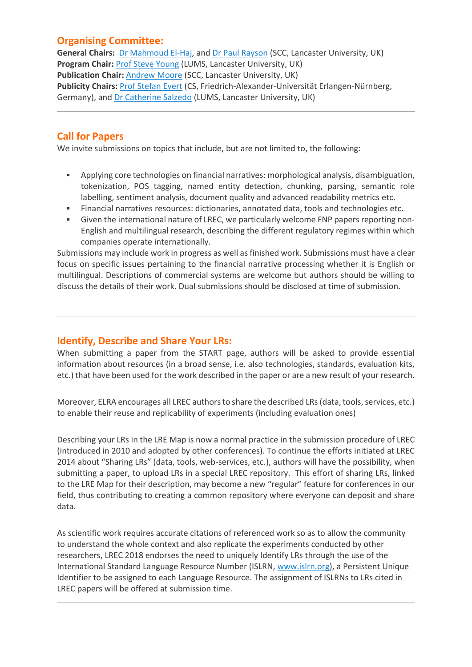# **Organising Committee:**

**General Chairs:** Dr [Mahmoud](http://www.lancaster.ac.uk/staff/elhaj) El-Haj, and Dr Paul [Rayson](http://www.lancaster.ac.uk/staff/rayson/) (SCC, Lancaster University, UK) **Program Chair:** Prof Steve [Young](http://www.lancaster.ac.uk/lums/people/steven-young) (LUMS, Lancaster University, UK) **Publication Chair:** [Andrew](http://www.research.lancs.ac.uk/portal/en/people/andrew-moore(db19f815-4ab9-431f-814c-746f2fce5cc1).html) Moore (SCC, Lancaster University, UK) **Publicity Chairs:** Prof [Stefan](http://www.stefan-evert.de/) Evert (CS, Friedrich-Alexander-Universität Erlangen-Nürnberg, Germany), and Dr [Catherine](http://www.lancaster.ac.uk/lums/people/catherine-salzedo) Salzedo (LUMS, Lancaster University, UK)

# **Call for Papers**

We invite submissions on topics that include, but are not limited to, the following:

- Applying core technologies on financial narratives: morphological analysis, disambiguation, tokenization, POS tagging, named entity detection, chunking, parsing, semantic role labelling, sentiment analysis, document quality and advanced readability metrics etc.
- Financial narratives resources: dictionaries, annotated data, tools and technologies etc.
- Given the international nature of LREC, we particularly welcome FNP papers reporting non-English and multilingual research, describing the different regulatory regimes within which companies operate internationally.

Submissions may include work in progress as well as finished work. Submissions must have a clear focus on specific issues pertaining to the financial narrative processing whether it is English or multilingual. Descriptions of commercial systems are welcome but authors should be willing to discuss the details of their work. Dual submissions should be disclosed at time of submission.

# **Identify, Describe and Share Your LRs:**

When submitting a paper from the START page, authors will be asked to provide essential information about resources (in a broad sense, i.e. also technologies, standards, evaluation kits, etc.) that have been used for the work described in the paper or are a new result of your research.

Moreover, ELRA encourages all LREC authors to share the described LRs (data, tools, services, etc.) to enable their reuse and replicability of experiments (including evaluation ones)

Describing your LRs in the LRE Map is now a normal practice in the submission procedure of LREC (introduced in 2010 and adopted by other conferences). To continue the efforts initiated at LREC 2014 about "Sharing LRs" (data, tools, web-services, etc.), authors will have the possibility, when submitting a paper, to upload LRs in a special LREC repository. This effort of sharing LRs, linked to the LRE Map for their description, may become a new "regular" feature for conferences in our field, thus contributing to creating a common repository where everyone can deposit and share data.

As scientific work requires accurate citations of referenced work so as to allow the community to understand the whole context and also replicate the experiments conducted by other researchers, LREC 2018 endorses the need to uniquely Identify LRs through the use of the International Standard Language Resource Number (ISLRN, [www.islrn.org\)](http://www.islrn.org/), a Persistent Unique Identifier to be assigned to each Language Resource. The assignment of ISLRNs to LRs cited in LREC papers will be offered at submission time.